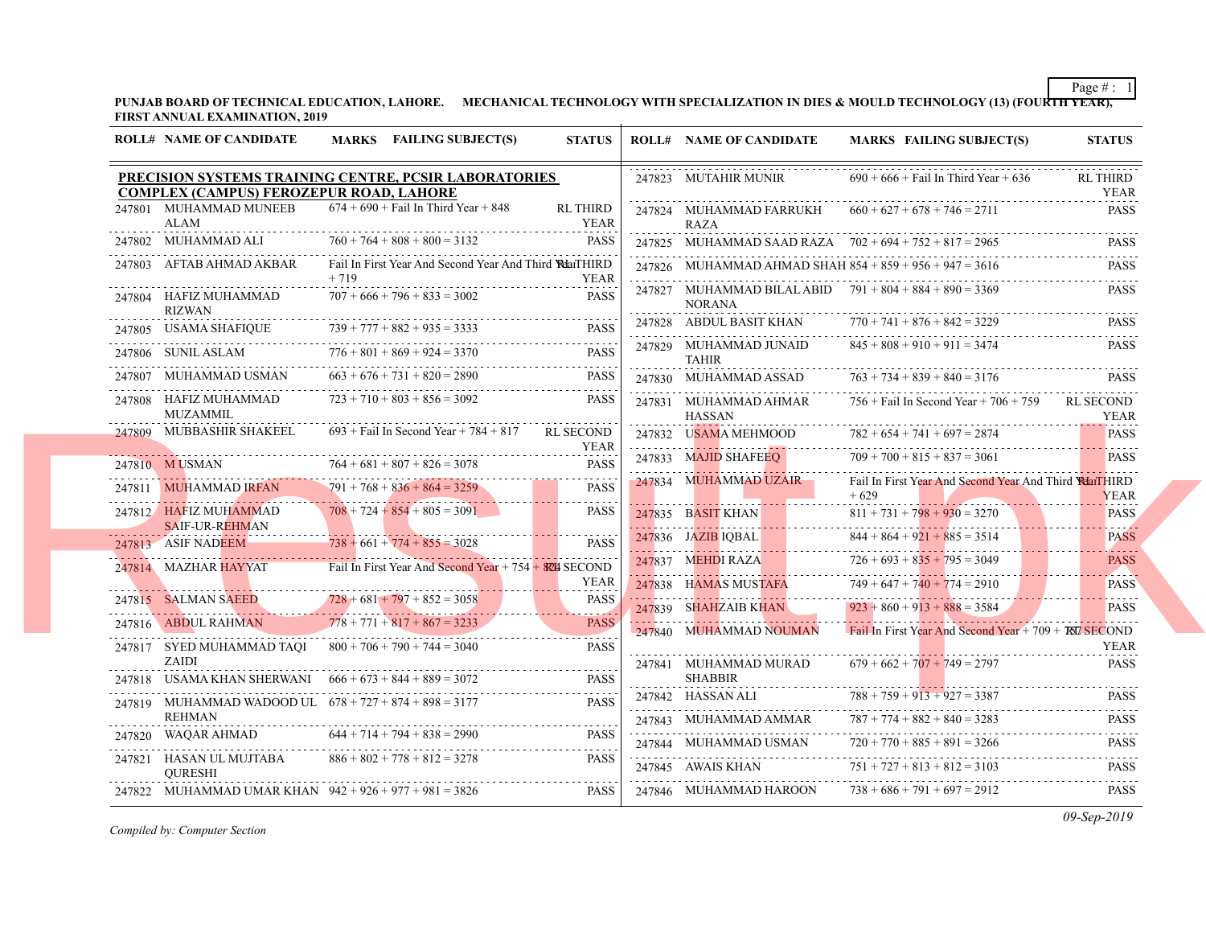## PUNJAB BOARD OF TECHNICAL EDUCATION, LAHORE. MECHANICAL TECHNOLOGY WITH SPECIALIZATION IN DIES & MOULD TECH **FIRST ANNUAL EXAMINATION, 2019**

| <b>ROLL# NAME OF CANDIDATE</b>                                                                          |        | MARKS FAILING SUBJECT(S)                                        | <b>STATUS</b>                                      |   | <b>ROLL# NAME OF CANDIDATE</b>                              | <b>MARKS FAIL</b>                              |
|---------------------------------------------------------------------------------------------------------|--------|-----------------------------------------------------------------|----------------------------------------------------|---|-------------------------------------------------------------|------------------------------------------------|
| PRECISION SYSTEMS TRAINING CENTRE, PCSIR LABORATORIES<br><b>COMPLEX (CAMPUS) FEROZEPUR ROAD, LAHORE</b> |        |                                                                 |                                                    |   | 247823 MUTAHIR MUNIR                                        | $690 + 666 +$ Fail                             |
| 247801 MUHAMMAD MUNEEB<br>ALAM                                                                          |        | $674 + 690 +$ Fail In Third Year + 848                          | <b>RL THIRD</b><br><b>YEAR</b>                     |   | 247824 MUHAMMAD FARRUKH<br><b>RAZA</b>                      | $660 + 627 + 678$                              |
| 247802 MUHAMMAD ALI                                                                                     |        | $760 + 764 + 808 + 800 = 3132$                                  | <b>PASS</b>                                        |   | 247825 MUHAMMAD SAAD RAZA $702 + 694 + 752$                 |                                                |
| 247803 AFTAB AHMAD AKBAR                                                                                | $+719$ | Fail In First Year And Second Year And Third <b>Rela</b> tTHIRD | <b>YEAR</b>                                        |   | 247826 MUHAMMAD AHMAD SHAH $854 + 859 + 956$                |                                                |
| 247804 HAFIZ MUHAMMAD<br><b>RIZWAN</b>                                                                  |        | $707 + 666 + 796 + 833 = 3002$                                  | <b>PASS</b>                                        | . | 247827 MUHAMMAD BILAL ABID 791 + 804 + 884<br><b>NORANA</b> |                                                |
| 247805 USAMA SHAFIQUE                                                                                   |        | $739 + 777 + 882 + 935 = 3333$                                  | <b>PASS</b>                                        |   | 247828 ABDUL BASIT KHAN                                     | $770 + 741 + 876$<br>.                         |
| 247806 SUNIL ASLAM                                                                                      |        | $776 + 801 + 869 + 924 = 3370$                                  | .<br><b>PASS</b>                                   |   | 247829 MUHAMMAD JUNAID<br><b>TAHIR</b>                      | $845 + 808 + 910$                              |
| 247807 MUHAMMAD USMAN                                                                                   |        | $663 + 676 + 731 + 820 = 2890$                                  | <b>PASS</b>                                        |   | 247830 MUHAMMAD ASSAD                                       | $763 + 734 + 839$                              |
| 247808 HAFIZ MUHAMMAD<br>MUZAMMIL                                                                       |        | $723 + 710 + 803 + 856 = 3092$                                  | PASS                                               |   | 247831 MUHAMMAD AHMAR<br><b>HASSAN</b>                      | $756 +$ Fail In Sec                            |
| 247809 MUBBASHIR SHAKEEL                                                                                |        | $693 +$ Fail In Second Year + 784 + 817                         | RL SECOND                                          |   | 247832 USAMA MEHMOOD                                        | $782 + 654 + 741$                              |
| 247810 MUSMAN                                                                                           |        | $764 + 681 + 807 + 826 = 3078$                                  | <b>YEAR</b><br><b>PASS</b>                         |   | 247833 MAJID SHAFEEQ                                        | .<br>$709 + 700 + 815$                         |
| 247811 MUHAMMAD IRFAN                                                                                   |        | $791 + 768 + 836 + 864 = 3259$                                  | <b>PASS</b>                                        |   | 247834 MUHAMMAD UZAIR                                       | Fail In First Year<br>$+629$                   |
| 247812 HAFIZ MUHAMMAD<br><b>SAIF-UR-REHMAN</b>                                                          |        | $708 + 724 + 854 + 805 = 3091$                                  | <b>PASS</b>                                        |   | 247835 BASIT KHAN                                           | $811 + 731 + 798$                              |
| 247813 ASIF NADEEM                                                                                      |        | $738 + 661 + 774 + 855 = 3028$                                  | <b>PASS</b>                                        |   | 247836 JAZIB IQBAL                                          | $844 + 864 + 921$                              |
| 247814 MAZHAR HAYYAT                                                                                    |        | Fail In First Year And Second Year $+ 754 + 824$ SECOND         | <b>YEAR</b>                                        | . | 247837 MEHDI RAZA<br>247838 HAMAS MUSTAFA                   | $726 + 693 + 835$<br>$749 + 647 + 740$         |
| 247815 SALMAN SAEED                                                                                     |        | $728 + 681 + 797 + 852 = 3058$                                  | <b>PASS</b>                                        |   |                                                             |                                                |
| 247816 ABDUL RAHMAN                                                                                     |        | $778 + 771 + 817 + 867 = 3233$                                  | <b>PASS</b>                                        |   | 247839 SHAHZAIB KHAN<br>247840 MUHAMMAD NOUMAN              | $923 + 860 + 913$<br><b>Fail In First Year</b> |
| 247817 SYED MUHAMMAD TAQI $800 + 706 + 790 + 744 = 3040$<br>ZAIDI                                       |        |                                                                 | <b>PASS</b>                                        |   | 247841 MUHAMMAD MURAD                                       | $679 + 662 + 707$                              |
| 247818 USAMA KHAN SHERWANI $666 + 673 + 844 + 889 = 3072$                                               |        |                                                                 | $\omega = \omega - \omega - \omega$<br><b>PASS</b> |   | <b>SHABBIR</b>                                              |                                                |
| 247819 MUHAMMAD WADOOD UL 678 + 727 + 874 + 898 = 3177<br><b>REHMAN</b>                                 |        |                                                                 | <b>PASS</b>                                        |   | 247842 HASSAN ALI<br>247843 MUHAMMAD AMMAR                  | $788 + 759 + 913$<br>$787 + 774 + 882$         |
| 247820 WAQAR AHMAD                                                                                      |        | $644 + 714 + 794 + 838 = 2990$                                  | PASS                                               |   | 247844 MUHAMMAD USMAN                                       | $720 + 770 + 885$                              |
| 247821 HASAN UL MUJTABA<br><b>OURESHI</b>                                                               |        | $886 + 802 + 778 + 812 = 3278$                                  | <b>PASS</b>                                        |   | 247845 AWAIS KHAN                                           | $751 + 727 + 813$                              |
| 247822 MUHAMMAD UMAR KHAN $942 + 926 + 977 + 981 = 3826$                                                |        |                                                                 | <b>PASS</b>                                        |   | 247846 MUHAMMAD HAROON                                      | $738 + 686 + 791$                              |
|                                                                                                         |        |                                                                 |                                                    |   |                                                             |                                                |

*Compiled by: Computer Section*